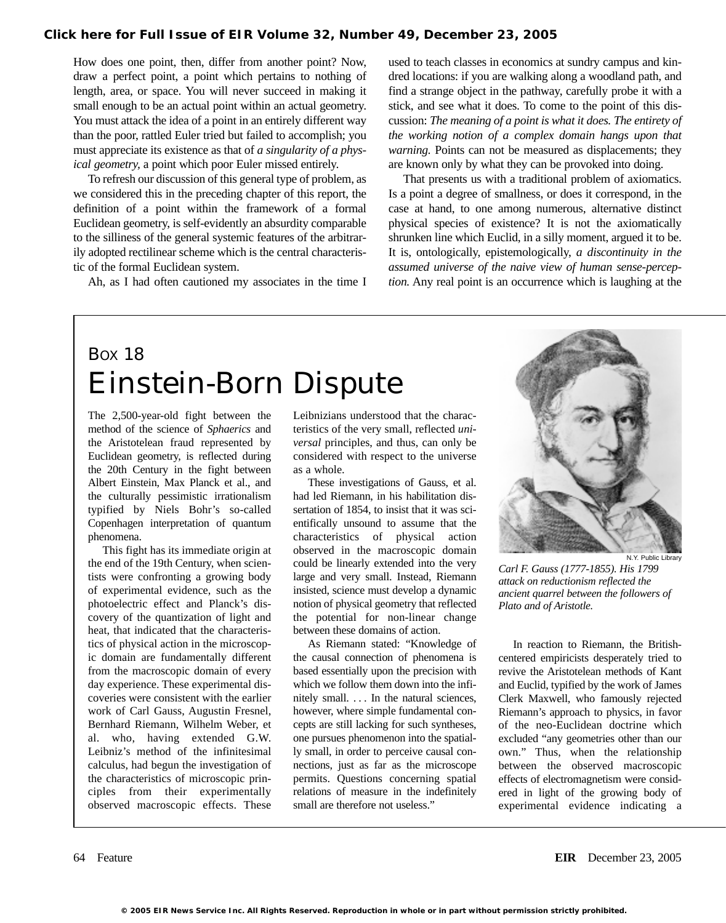How does one point, then, differ from another point? Now, draw a perfect point, a point which pertains to nothing of length, area, or space. You will never succeed in making it small enough to be an actual point within an actual geometry. You must attack the idea of a point in an entirely different way than the poor, rattled Euler tried but failed to accomplish; you must appreciate its existence as that of *a singularity of a physical geometry,* a point which poor Euler missed entirely.

To refresh our discussion of this general type of problem, as we considered this in the preceding chapter of this report, the definition of a point within the framework of a formal Euclidean geometry, is self-evidently an absurdity comparable to the silliness of the general systemic features of the arbitrarily adopted rectilinear scheme which is the central characteristic of the formal Euclidean system.

Ah, as I had often cautioned my associates in the time I

used to teach classes in economics at sundry campus and kindred locations: if you are walking along a woodland path, and find a strange object in the pathway, carefully probe it with a stick, and see what it does. To come to the point of this discussion: *The meaning of a point is what it does. The entirety of the working notion of a complex domain hangs upon that warning.* Points can not be measured as displacements; they are known only by what they can be provoked into doing.

That presents us with a traditional problem of axiomatics. Is a point a degree of smallness, or does it correspond, in the case at hand, to one among numerous, alternative distinct physical species of existence? It is not the axiomatically shrunken line which Euclid, in a silly moment, argued it to be. It is, ontologically, epistemologically, *a discontinuity in the assumed universe of the naive view of human sense-perception.* Any real point is an occurrence which is laughing at the

## BOX 18 Einstein-Born Dispute

The 2,500-year-old fight between the method of the science of *Sphaerics* and the Aristotelean fraud represented by Euclidean geometry, is reflected during the 20th Century in the fight between Albert Einstein, Max Planck et al., and the culturally pessimistic irrationalism typified by Niels Bohr's so-called Copenhagen interpretation of quantum phenomena.

This fight has its immediate origin at the end of the 19th Century, when scientists were confronting a growing body of experimental evidence, such as the photoelectric effect and Planck's discovery of the quantization of light and heat, that indicated that the characteristics of physical action in the microscopic domain are fundamentally different from the macroscopic domain of every day experience. These experimental discoveries were consistent with the earlier work of Carl Gauss, Augustin Fresnel, Bernhard Riemann, Wilhelm Weber, et al. who, having extended G.W. Leibniz's method of the infinitesimal calculus, had begun the investigation of the characteristics of microscopic principles from their experimentally observed macroscopic effects. These Leibnizians understood that the characteristics of the very small, reflected *universal* principles, and thus, can only be considered with respect to the universe as a whole.

These investigations of Gauss, et al. had led Riemann, in his habilitation dissertation of 1854, to insist that it was scientifically unsound to assume that the characteristics of physical action observed in the macroscopic domain could be linearly extended into the very large and very small. Instead, Riemann insisted, science must develop a dynamic notion of physical geometry that reflected the potential for non-linear change between these domains of action.

As Riemann stated: "Knowledge of the causal connection of phenomena is based essentially upon the precision with which we follow them down into the infinitely small. . . . In the natural sciences, however, where simple fundamental concepts are still lacking for such syntheses, one pursues phenomenon into the spatially small, in order to perceive causal connections, just as far as the microscope permits. Questions concerning spatial relations of measure in the indefinitely small are therefore not useless."



*Carl F. Gauss (1777-1855). His 1799 attack on reductionism reflected the ancient quarrel between the followers of Plato and of Aristotle.*

In reaction to Riemann, the Britishcentered empiricists desperately tried to revive the Aristotelean methods of Kant and Euclid, typified by the work of James Clerk Maxwell, who famously rejected Riemann's approach to physics, in favor of the neo-Euclidean doctrine which excluded "any geometries other than our own." Thus, when the relationship between the observed macroscopic effects of electromagnetism were considered in light of the growing body of experimental evidence indicating a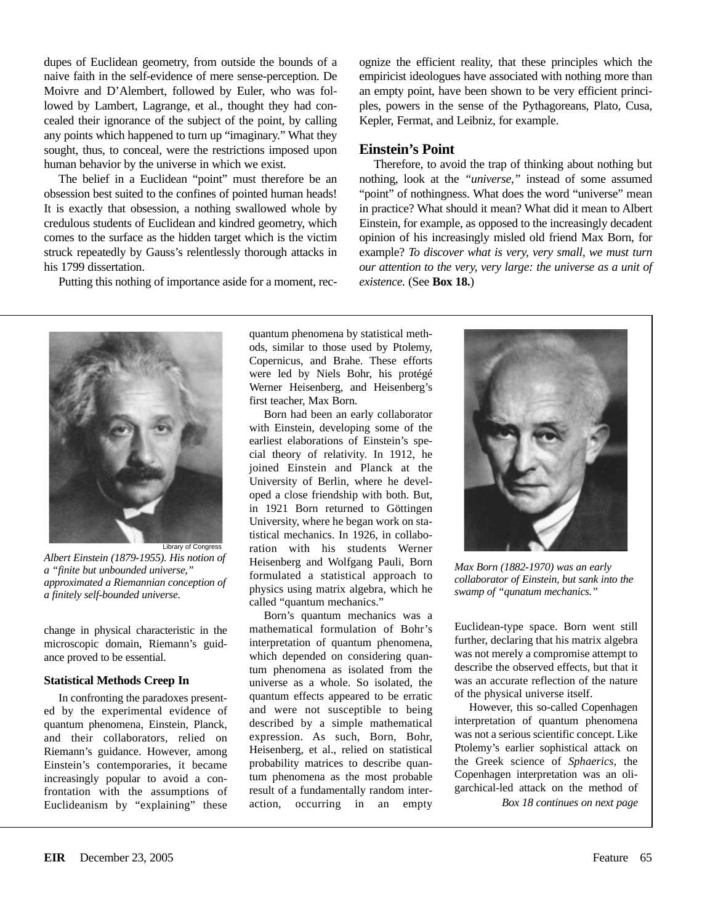dupes of Euclidean geometry, from outside the bounds of a naive faith in the self-evidence of mere sense-perception. De Moivre and D'Alembert, followed by Euler, who was followed by Lambert, Lagrange, et al., thought they had concealed their ignorance of the subject of the point, by calling any points which happened to turn up "imaginary." What they sought, thus, to conceal, were the restrictions imposed upon human behavior by the universe in which we exist.

The belief in a Euclidean "point" must therefore be an obsession best suited to the confines of pointed human heads! It is exactly that obsession, a nothing swallowed whole by credulous students of Euclidean and kindred geometry, which comes to the surface as the hidden target which is the victim struck repeatedly by Gauss's relentlessly thorough attacks in his 1799 dissertation.

Putting this nothing of importance aside for a moment, rec-

ognize the efficient reality, that these principles which the empiricist ideologues have associated with nothing more than an empty point, have been shown to be very efficient principles, powers in the sense of the Pythagoreans, Plato, Cusa, Kepler, Fermat, and Leibniz, for example.

## **Einstein's Point**

Therefore, to avoid the trap of thinking about nothing but nothing, look at the *"universe,"* instead of some assumed "point" of nothingness. What does the word "universe" mean in practice? What should it mean? What did it mean to Albert Einstein, for example, as opposed to the increasingly decadent opinion of his increasingly misled old friend Max Born, for example? *To discover what is very, very small, we must turn our attention to the very, very large: the universe as a unit of existence.* (See **Box 18.**)



*Albert Einstein (1879-1955). His notion of a "finite but unbounded universe," approximated a Riemannian conception of a finitely self-bounded universe.*

change in physical characteristic in the microscopic domain, Riemann's guidance proved to be essential.

## **Statistical Methods Creep In**

In confronting the paradoxes presented by the experimental evidence of quantum phenomena, Einstein, Planck, and their collaborators, relied on Riemann's guidance. However, among Einstein's contemporaries, it became increasingly popular to avoid a confrontation with the assumptions of Euclideanism by "explaining" these

quantum phenomena by statistical methods, similar to those used by Ptolemy, Copernicus, and Brahe. These efforts were led by Niels Bohr, his protégé Werner Heisenberg, and Heisenberg's first teacher, Max Born.

Born had been an early collaborator with Einstein, developing some of the earliest elaborations of Einstein's special theory of relativity. In 1912, he joined Einstein and Planck at the University of Berlin, where he developed a close friendship with both. But, in 1921 Born returned to Göttingen University, where he began work on statistical mechanics. In 1926, in collaboration with his students Werner Heisenberg and Wolfgang Pauli, Born formulated a statistical approach to physics using matrix algebra, which he called "quantum mechanics."

Born's quantum mechanics was a mathematical formulation of Bohr's interpretation of quantum phenomena, which depended on considering quantum phenomena as isolated from the universe as a whole. So isolated, the quantum effects appeared to be erratic and were not susceptible to being described by a simple mathematical expression. As such, Born, Bohr, Heisenberg, et al., relied on statistical probability matrices to describe quantum phenomena as the most probable result of a fundamentally random interaction, occurring in an empty



*Max Born (1882-1970) was an early collaborator of Einstein, but sank into the swamp of "qunatum mechanics."*

Euclidean-type space. Born went still further, declaring that his matrix algebra was not merely a compromise attempt to describe the observed effects, but that it was an accurate reflection of the nature of the physical universe itself.

However, this so-called Copenhagen interpretation of quantum phenomena was not a serious scientific concept. Like Ptolemy's earlier sophistical attack on the Greek science of *Sphaerics,* the Copenhagen interpretation was an oligarchical-led attack on the method of

*Box 18 continues on next page*